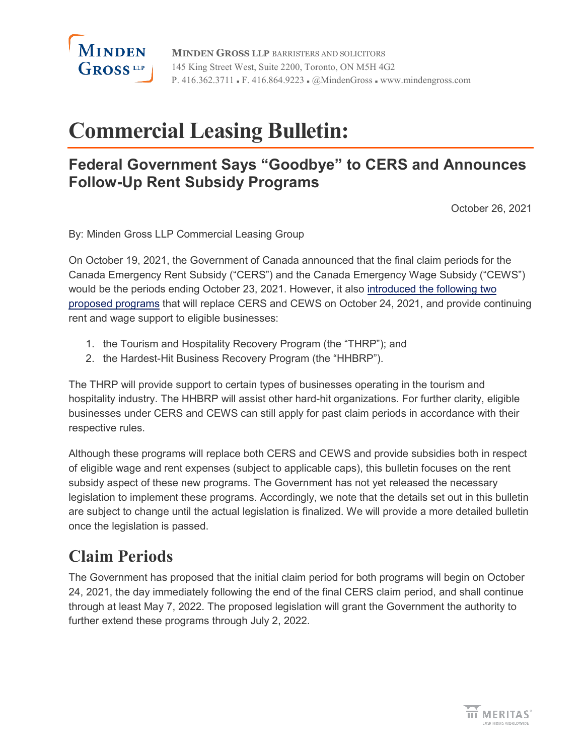

**MINDEN GROSS LLP** BARRISTERS AND SOLICITORS 145 King Street West, Suite 2200, Toronto, ON M5H 4G2 P. 416.362.3711 • F. 416.864.9223 • @MindenGross • www.mindengross.com

# **Commercial Leasing Bulletin:**

#### **Federal Government Says "Goodbye" to CERS and Announces Follow-Up Rent Subsidy Programs**

October 26, 2021

By: Minden Gross LLP Commercial Leasing Group

On October 19, 2021, the Government of Canada announced that the final claim periods for the Canada Emergency Rent Subsidy ("CERS") and the Canada Emergency Wage Subsidy ("CEWS") would be the periods ending October 23, 2021. However, it also [introduced the following two](https://www.canada.ca/en/department-finance/news/2021/10/targeting-covid-19-support-measures.html) proposed [programs](https://www.canada.ca/en/department-finance/news/2021/10/targeting-covid-19-support-measures.html) that will replace CERS and CEWS on October 24, 2021, and provide continuing rent and wage support to eligible businesses:

- 1. the Tourism and Hospitality Recovery Program (the "THRP"); and
- 2. the Hardest-Hit Business Recovery Program (the "HHBRP").

The THRP will provide support to certain types of businesses operating in the tourism and hospitality industry. The HHBRP will assist other hard-hit organizations. For further clarity, eligible businesses under CERS and CEWS can still apply for past claim periods in accordance with their respective rules.

Although these programs will replace both CERS and CEWS and provide subsidies both in respect of eligible wage and rent expenses (subject to applicable caps), this bulletin focuses on the rent subsidy aspect of these new programs. The Government has not yet released the necessary legislation to implement these programs. Accordingly, we note that the details set out in this bulletin are subject to change until the actual legislation is finalized. We will provide a more detailed bulletin once the legislation is passed.

# **Claim Periods**

The Government has proposed that the initial claim period for both programs will begin on October 24, 2021, the day immediately following the end of the final CERS claim period, and shall continue through at least May 7, 2022. The proposed legislation will grant the Government the authority to further extend these programs through July 2, 2022.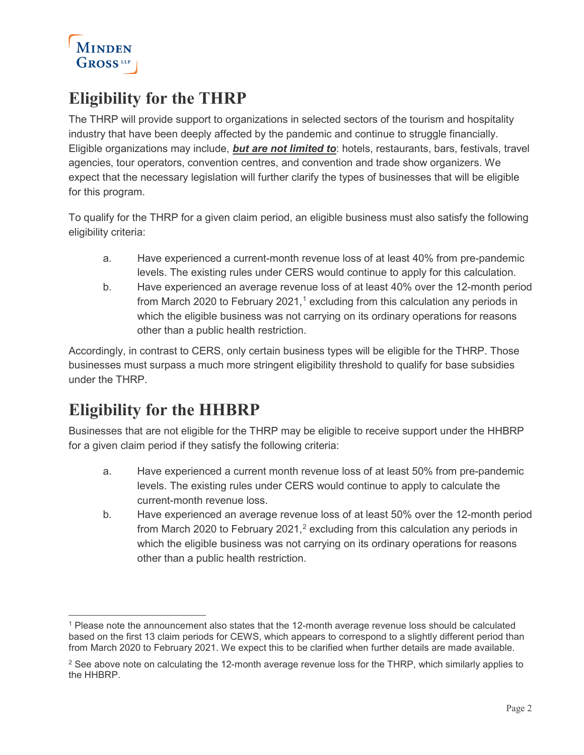

# **Eligibility for the THRP**

The THRP will provide support to organizations in selected sectors of the tourism and hospitality industry that have been deeply affected by the pandemic and continue to struggle financially. Eligible organizations may include, *but are not limited to*: hotels, restaurants, bars, festivals, travel agencies, tour operators, convention centres, and convention and trade show organizers. We expect that the necessary legislation will further clarify the types of businesses that will be eligible for this program.

To qualify for the THRP for a given claim period, an eligible business must also satisfy the following eligibility criteria:

- a. Have experienced a current-month revenue loss of at least 40% from pre-pandemic levels. The existing rules under CERS would continue to apply for this calculation.
- b. Have experienced an average revenue loss of at least 40% over the 12-month period from March 2020 to February 2021, [1](#page-1-0) excluding from this calculation any periods in which the eligible business was not carrying on its ordinary operations for reasons other than a public health restriction.

Accordingly, in contrast to CERS, only certain business types will be eligible for the THRP. Those businesses must surpass a much more stringent eligibility threshold to qualify for base subsidies under the THRP.

# **Eligibility for the HHBRP**

Businesses that are not eligible for the THRP may be eligible to receive support under the HHBRP for a given claim period if they satisfy the following criteria:

- a. Have experienced a current month revenue loss of at least 50% from pre-pandemic levels. The existing rules under CERS would continue to apply to calculate the current-month revenue loss.
- b. Have experienced an average revenue loss of at least 50% over the 12-month period from March [2](#page-1-1)020 to February 2021, $^2$  excluding from this calculation any periods in which the eligible business was not carrying on its ordinary operations for reasons other than a public health restriction.

<span id="page-1-0"></span> <sup>1</sup> Please note the announcement also states that the 12-month average revenue loss should be calculated based on the first 13 claim periods for CEWS, which appears to correspond to a slightly different period than from March 2020 to February 2021. We expect this to be clarified when further details are made available.

<span id="page-1-1"></span><sup>&</sup>lt;sup>2</sup> See above note on calculating the 12-month average revenue loss for the THRP, which similarly applies to the HHBRP.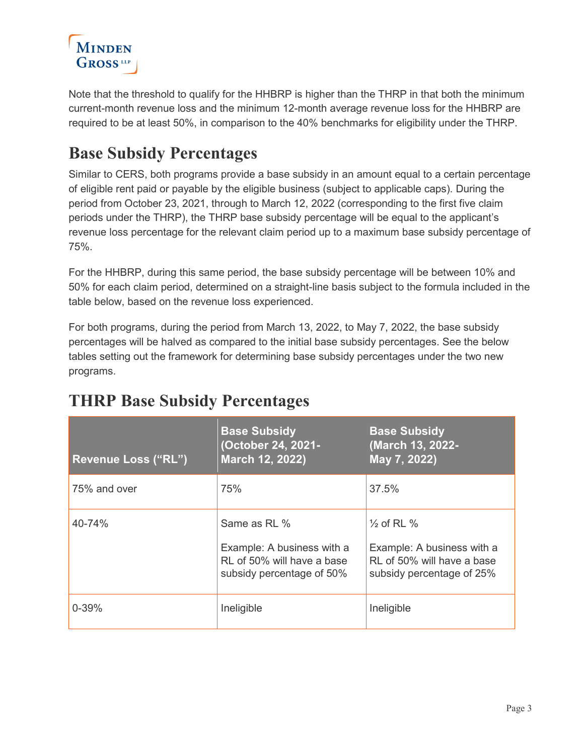

Note that the threshold to qualify for the HHBRP is higher than the THRP in that both the minimum current-month revenue loss and the minimum 12-month average revenue loss for the HHBRP are required to be at least 50%, in comparison to the 40% benchmarks for eligibility under the THRP.

# **Base Subsidy Percentages**

Similar to CERS, both programs provide a base subsidy in an amount equal to a certain percentage of eligible rent paid or payable by the eligible business (subject to applicable caps). During the period from October 23, 2021, through to March 12, 2022 (corresponding to the first five claim periods under the THRP), the THRP base subsidy percentage will be equal to the applicant's revenue loss percentage for the relevant claim period up to a maximum base subsidy percentage of 75%.

For the HHBRP, during this same period, the base subsidy percentage will be between 10% and 50% for each claim period, determined on a straight-line basis subject to the formula included in the table below, based on the revenue loss experienced.

For both programs, during the period from March 13, 2022, to May 7, 2022, the base subsidy percentages will be halved as compared to the initial base subsidy percentages. See the below tables setting out the framework for determining base subsidy percentages under the two new programs.

| <b>Revenue Loss ("RL")</b> | <b>Base Subsidy</b><br>(October 24, 2021-<br>March 12, 2022)                                          | <b>Base Subsidy</b><br>(March 13, 2022-<br>May 7, 2022)                                                           |
|----------------------------|-------------------------------------------------------------------------------------------------------|-------------------------------------------------------------------------------------------------------------------|
| 75% and over               | 75%                                                                                                   | 37.5%                                                                                                             |
| 40-74%                     | Same as RL %<br>Example: A business with a<br>RL of 50% will have a base<br>subsidy percentage of 50% | $\frac{1}{2}$ of RL $\%$<br>Example: A business with a<br>RL of 50% will have a base<br>subsidy percentage of 25% |
| $0 - 39%$                  | Ineligible                                                                                            | Ineligible                                                                                                        |

### **THRP Base Subsidy Percentages**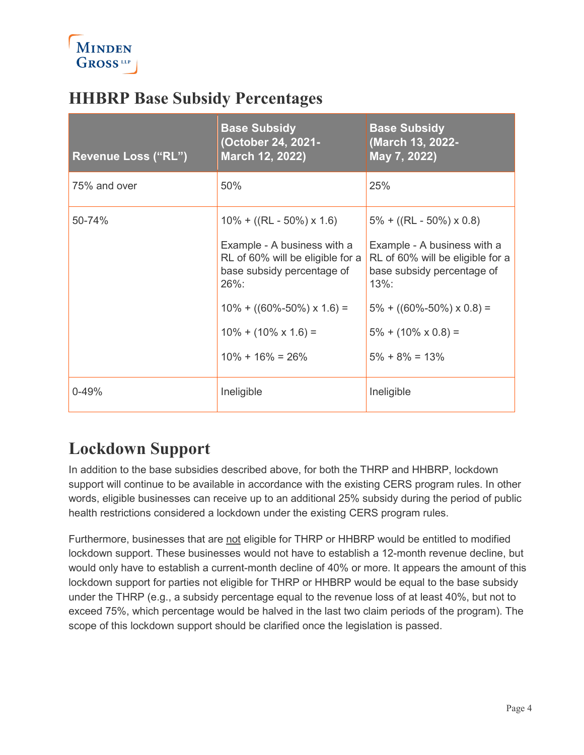### **MINDEN** GROSS LLP

#### **HHBRP Base Subsidy Percentages**

| Revenue Loss ("RL") | <b>Base Subsidy</b><br>(October 24, 2021-<br>March 12, 2022)                                                                                                                                                                                | <b>Base Subsidy</b><br>(March 13, 2022-<br>May 7, 2022)                                                                                                                                                                                   |
|---------------------|---------------------------------------------------------------------------------------------------------------------------------------------------------------------------------------------------------------------------------------------|-------------------------------------------------------------------------------------------------------------------------------------------------------------------------------------------------------------------------------------------|
| 75% and over        | 50%                                                                                                                                                                                                                                         | 25%                                                                                                                                                                                                                                       |
| 50-74%              | $10\% + ((RL - 50\%) \times 1.6)$<br>Example - A business with a<br>RL of 60% will be eligible for a<br>base subsidy percentage of<br>26%:<br>$10\% + ((60\% - 50\%) \times 1.6) =$<br>$10\% + (10\% \times 1.6) =$<br>$10\% + 16\% = 26\%$ | $5\% + ((RL - 50\%) \times 0.8)$<br>Example - A business with a<br>RL of 60% will be eligible for a<br>base subsidy percentage of<br>$13%$ :<br>$5\% + ((60\% - 50\%) \times 0.8) =$<br>$5\% + (10\% \times 0.8) =$<br>$5\% + 8\% = 13\%$ |
| $0 - 49%$           | Ineligible                                                                                                                                                                                                                                  | Ineligible                                                                                                                                                                                                                                |

# **Lockdown Support**

In addition to the base subsidies described above, for both the THRP and HHBRP, lockdown support will continue to be available in accordance with the existing CERS program rules. In other words, eligible businesses can receive up to an additional 25% subsidy during the period of public health restrictions considered a lockdown under the existing CERS program rules.

Furthermore, businesses that are not eligible for THRP or HHBRP would be entitled to modified lockdown support. These businesses would not have to establish a 12-month revenue decline, but would only have to establish a current-month decline of 40% or more. It appears the amount of this lockdown support for parties not eligible for THRP or HHBRP would be equal to the base subsidy under the THRP (e.g., a subsidy percentage equal to the revenue loss of at least 40%, but not to exceed 75%, which percentage would be halved in the last two claim periods of the program). The scope of this lockdown support should be clarified once the legislation is passed.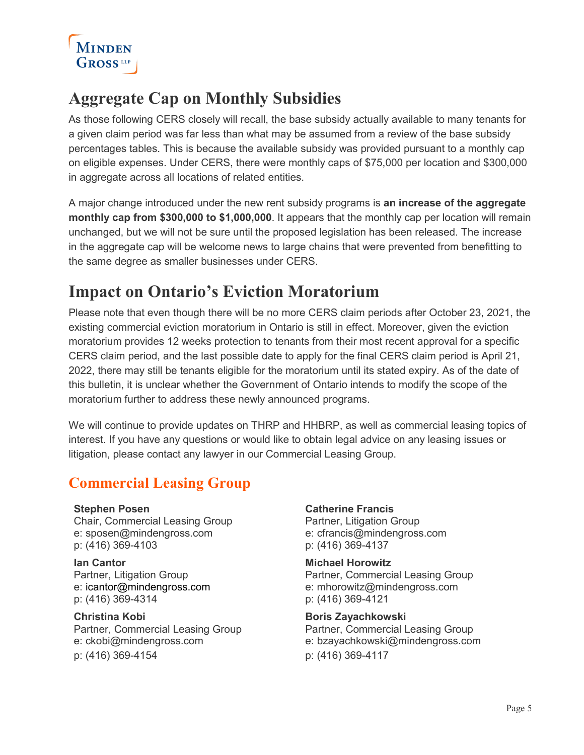

#### **Aggregate Cap on Monthly Subsidies**

As those following CERS closely will recall, the base subsidy actually available to many tenants for a given claim period was far less than what may be assumed from a review of the base subsidy percentages tables. This is because the available subsidy was provided pursuant to a monthly cap on eligible expenses. Under CERS, there were monthly caps of \$75,000 per location and \$300,000 in aggregate across all locations of related entities.

A major change introduced under the new rent subsidy programs is **an increase of the aggregate monthly cap from \$300,000 to \$1,000,000**. It appears that the monthly cap per location will remain unchanged, but we will not be sure until the proposed legislation has been released. The increase in the aggregate cap will be welcome news to large chains that were prevented from benefitting to the same degree as smaller businesses under CERS.

### **Impact on Ontario's Eviction Moratorium**

Please note that even though there will be no more CERS claim periods after October 23, 2021, the existing commercial eviction moratorium in Ontario is still in effect. Moreover, given the eviction moratorium provides 12 weeks protection to tenants from their most recent approval for a specific CERS claim period, and the last possible date to apply for the final CERS claim period is April 21, 2022, there may still be tenants eligible for the moratorium until its stated expiry. As of the date of this bulletin, it is unclear whether the Government of Ontario intends to modify the scope of the moratorium further to address these newly announced programs.

We will continue to provide updates on THRP and HHBRP, as well as commercial leasing topics of interest. If you have any questions or would like to obtain legal advice on any leasing issues or litigation, please contact any lawyer in our Commercial Leasing Group.

#### **Commercial Leasing Group**

**[Stephen Posen](https://www.mindengross.com/our-people/details/stephen-posen)** Chair, Commercial Leasing Group e: [sposen@mindengross.com](mailto:sposen@mindengross.com) p: (416) 369-4103

**Ian Cantor** Partner, Litigation Group e: [icantor@mindengross.com](mailto:icantor@mindengross.com) p: (416) 369-4314

**[Christina Kobi](https://www.mindengross.com/our-people/details/christina-kobi)** Partner, Commercial Leasing Group e: [ckobi@mindengross.com](mailto:ckobi@mindengross.com) p: (416) 369-4154

**Catherine Francis** Partner, Litigation Group e: [cfrancis@mindengross.com](mailto:%20cfrancis@mindengross.com) p: (416) 369-4137

**[Michael Horowitz](https://www.mindengross.com/our-people/details/michael-horowitz)** Partner, Commercial Leasing Group e: [mhorowitz@mindengross.com](mailto:mhorowitz@mindengross.com) p: (416) 369-4121

**[Boris Zayachkowski](https://www.mindengross.com/our-people/details/boris-zayachkowski)** Partner, Commercial Leasing Group e: [bzayachkowski@mindengross.com](mailto:bzayachkowski@mindengross.com) p: (416) 369-4117